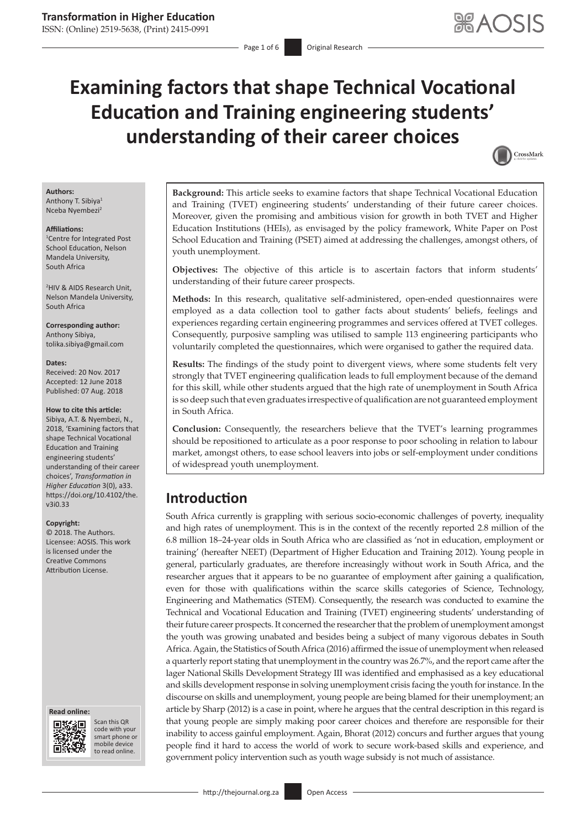# **Examining factors that shape Technical Vocational Education and Training engineering students' understanding of their career choices**



### **Authors:**

Anthony T. Sibiya<sup>1</sup> Nceba Nyembezi<sup>2</sup>

#### **Affiliations:**

1 Centre for Integrated Post School Education, Nelson Mandela University, South Africa

2 HIV & AIDS Research Unit, Nelson Mandela University, South Africa

**Corresponding author:**  Anthony Sibiya, [tolika.sibiya@gmail.com](mailto:tolika.sibiya@gmail.com)

#### **Dates:**

Received: 20 Nov. 2017 Accepted: 12 June 2018 Published: 07 Aug. 2018

#### **How to cite this article:**

Sibiya, A.T. & Nyembezi, N., 2018, 'Examining factors that shape Technical Vocational Education and Training engineering students' understanding of their career choices', *Transformation in Higher Education* 3(0), a33. [https://doi.org/10.4102/the.](https://doi.org/10.4102/the.v3i0.33) [v3i0.33](https://doi.org/10.4102/the.v3i0.33)

#### **Copyright:**

© 2018. The Authors. Licensee: AOSIS. This work is licensed under the Creative Commons Attribution License.

#### **Read online: Read**



Scan this QR code with your Scan this QR<br>code with your<br>smart phone or<br>mobile device mobile device to read online. to read online.

**Background:** This article seeks to examine factors that shape Technical Vocational Education and Training (TVET) engineering students' understanding of their future career choices. Moreover, given the promising and ambitious vision for growth in both TVET and Higher Education Institutions (HEIs), as envisaged by the policy framework, White Paper on Post School Education and Training (PSET) aimed at addressing the challenges, amongst others, of youth unemployment.

**Objectives:** The objective of this article is to ascertain factors that inform students' understanding of their future career prospects.

**Methods:** In this research, qualitative self-administered, open-ended questionnaires were employed as a data collection tool to gather facts about students' beliefs, feelings and experiences regarding certain engineering programmes and services offered at TVET colleges. Consequently, purposive sampling was utilised to sample 113 engineering participants who voluntarily completed the questionnaires, which were organised to gather the required data.

**Results:** The findings of the study point to divergent views, where some students felt very strongly that TVET engineering qualification leads to full employment because of the demand for this skill, while other students argued that the high rate of unemployment in South Africa is so deep such that even graduates irrespective of qualification are not guaranteed employment in South Africa.

**Conclusion:** Consequently, the researchers believe that the TVET's learning programmes should be repositioned to articulate as a poor response to poor schooling in relation to labour market, amongst others, to ease school leavers into jobs or self-employment under conditions of widespread youth unemployment.

### **Introduction**

South Africa currently is grappling with serious socio-economic challenges of poverty, inequality and high rates of unemployment. This is in the context of the recently reported 2.8 million of the 6.8 million 18–24-year olds in South Africa who are classified as 'not in education, employment or training' (hereafter NEET) (Department of Higher Education and Training 2012). Young people in general, particularly graduates, are therefore increasingly without work in South Africa, and the researcher argues that it appears to be no guarantee of employment after gaining a qualification, even for those with qualifications within the scarce skills categories of Science, Technology, Engineering and Mathematics (STEM). Consequently, the research was conducted to examine the Technical and Vocational Education and Training (TVET) engineering students' understanding of their future career prospects. It concerned the researcher that the problem of unemployment amongst the youth was growing unabated and besides being a subject of many vigorous debates in South Africa. Again, the Statistics of South Africa (2016) affirmed the issue of unemployment when released a quarterly report stating that unemployment in the country was 26.7%, and the report came after the lager National Skills Development Strategy III was identified and emphasised as a key educational and skills development response in solving unemployment crisis facing the youth for instance. In the discourse on skills and unemployment, young people are being blamed for their unemployment; an article by Sharp (2012) is a case in point, where he argues that the central description in this regard is that young people are simply making poor career choices and therefore are responsible for their inability to access gainful employment. Again, Bhorat (2012) concurs and further argues that young people find it hard to access the world of work to secure work-based skills and experience, and government policy intervention such as youth wage subsidy is not much of assistance.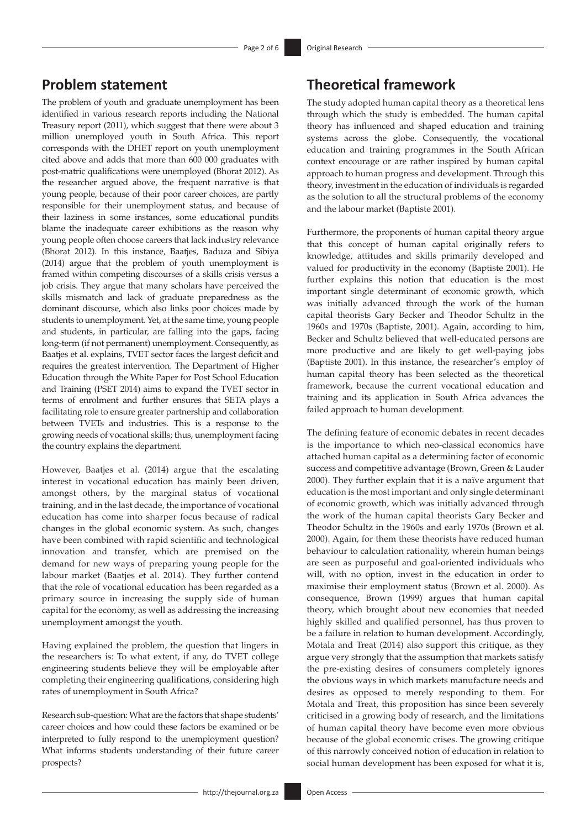# **Problem statement**

The problem of youth and graduate unemployment has been identified in various research reports including the National Treasury report (2011), which suggest that there were about 3 million unemployed youth in South Africa. This report corresponds with the DHET report on youth unemployment cited above and adds that more than 600 000 graduates with post-matric qualifications were unemployed (Bhorat 2012). As the researcher argued above, the frequent narrative is that young people, because of their poor career choices, are partly responsible for their unemployment status, and because of their laziness in some instances, some educational pundits blame the inadequate career exhibitions as the reason why young people often choose careers that lack industry relevance (Bhorat 2012). In this instance, Baatjes, Baduza and Sibiya (2014) argue that the problem of youth unemployment is framed within competing discourses of a skills crisis versus a job crisis. They argue that many scholars have perceived the skills mismatch and lack of graduate preparedness as the dominant discourse, which also links poor choices made by students to unemployment. Yet, at the same time, young people and students, in particular, are falling into the gaps, facing long-term (if not permanent) unemployment. Consequently, as Baatjes et al. explains, TVET sector faces the largest deficit and requires the greatest intervention. The Department of Higher Education through the White Paper for Post School Education and Training (PSET 2014) aims to expand the TVET sector in terms of enrolment and further ensures that SETA plays a facilitating role to ensure greater partnership and collaboration between TVETs and industries. This is a response to the growing needs of vocational skills; thus, unemployment facing the country explains the department.

However, Baatjes et al. (2014) argue that the escalating interest in vocational education has mainly been driven, amongst others, by the marginal status of vocational training, and in the last decade, the importance of vocational education has come into sharper focus because of radical changes in the global economic system. As such, changes have been combined with rapid scientific and technological innovation and transfer, which are premised on the demand for new ways of preparing young people for the labour market (Baatjes et al. 2014). They further contend that the role of vocational education has been regarded as a primary source in increasing the supply side of human capital for the economy, as well as addressing the increasing unemployment amongst the youth.

Having explained the problem, the question that lingers in the researchers is: To what extent, if any, do TVET college engineering students believe they will be employable after completing their engineering qualifications, considering high rates of unemployment in South Africa?

Research sub-question: What are the factors that shape students' career choices and how could these factors be examined or be interpreted to fully respond to the unemployment question? What informs students understanding of their future career prospects?

# **Theoretical framework**

The study adopted human capital theory as a theoretical lens through which the study is embedded. The human capital theory has influenced and shaped education and training systems across the globe. Consequently, the vocational education and training programmes in the South African context encourage or are rather inspired by human capital approach to human progress and development. Through this theory, investment in the education of individuals is regarded as the solution to all the structural problems of the economy and the labour market (Baptiste 2001).

Furthermore, the proponents of human capital theory argue that this concept of human capital originally refers to knowledge, attitudes and skills primarily developed and valued for productivity in the economy (Baptiste 2001). He further explains this notion that education is the most important single determinant of economic growth, which was initially advanced through the work of the human capital theorists Gary Becker and Theodor Schultz in the 1960s and 1970s (Baptiste, 2001). Again, according to him, Becker and Schultz believed that well-educated persons are more productive and are likely to get well-paying jobs (Baptiste 2001). In this instance, the researcher's employ of human capital theory has been selected as the theoretical framework, because the current vocational education and training and its application in South Africa advances the failed approach to human development.

The defining feature of economic debates in recent decades is the importance to which neo-classical economics have attached human capital as a determining factor of economic success and competitive advantage (Brown, Green & Lauder 2000). They further explain that it is a naïve argument that education is the most important and only single determinant of economic growth, which was initially advanced through the work of the human capital theorists Gary Becker and Theodor Schultz in the 1960s and early 1970s (Brown et al. 2000). Again, for them these theorists have reduced human behaviour to calculation rationality, wherein human beings are seen as purposeful and goal-oriented individuals who will, with no option, invest in the education in order to maximise their employment status (Brown et al. 2000). As consequence, Brown (1999) argues that human capital theory, which brought about new economies that needed highly skilled and qualified personnel, has thus proven to be a failure in relation to human development. Accordingly, Motala and Treat (2014) also support this critique, as they argue very strongly that the assumption that markets satisfy the pre-existing desires of consumers completely ignores the obvious ways in which markets manufacture needs and desires as opposed to merely responding to them. For Motala and Treat, this proposition has since been severely criticised in a growing body of research, and the limitations of human capital theory have become even more obvious because of the global economic crises. The growing critique of this narrowly conceived notion of education in relation to social human development has been exposed for what it is,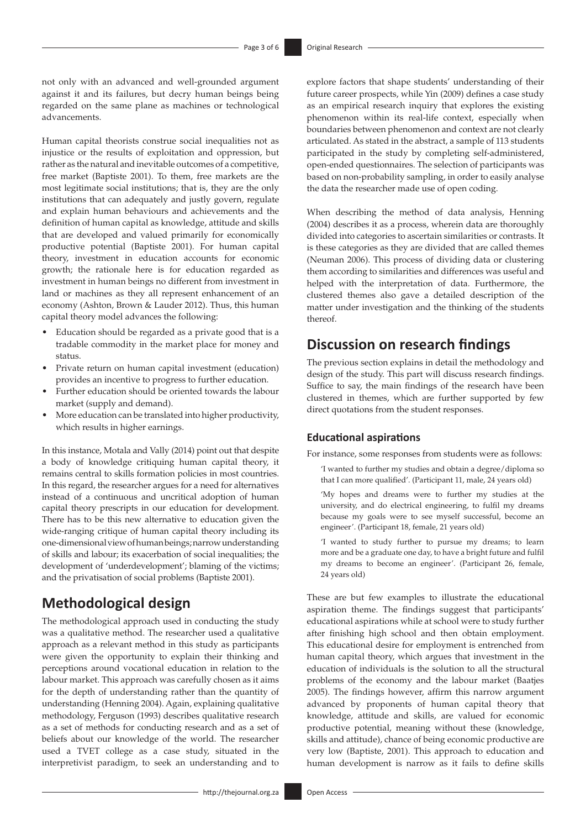not only with an advanced and well-grounded argument against it and its failures, but decry human beings being regarded on the same plane as machines or technological advancements.

Human capital theorists construe social inequalities not as injustice or the results of exploitation and oppression, but rather as the natural and inevitable outcomes of a competitive, free market (Baptiste 2001). To them, free markets are the most legitimate social institutions; that is, they are the only institutions that can adequately and justly govern, regulate and explain human behaviours and achievements and the definition of human capital as knowledge, attitude and skills that are developed and valued primarily for economically productive potential (Baptiste 2001). For human capital theory, investment in education accounts for economic growth; the rationale here is for education regarded as investment in human beings no different from investment in land or machines as they all represent enhancement of an economy (Ashton, Brown & Lauder 2012). Thus, this human capital theory model advances the following:

- • Education should be regarded as a private good that is a tradable commodity in the market place for money and status.
- Private return on human capital investment (education) provides an incentive to progress to further education.
- Further education should be oriented towards the labour market (supply and demand).
- More education can be translated into higher productivity, which results in higher earnings.

In this instance, Motala and Vally (2014) point out that despite a body of knowledge critiquing human capital theory, it remains central to skills formation policies in most countries. In this regard, the researcher argues for a need for alternatives instead of a continuous and uncritical adoption of human capital theory prescripts in our education for development. There has to be this new alternative to education given the wide-ranging critique of human capital theory including its one-dimensional view of human beings; narrow understanding of skills and labour; its exacerbation of social inequalities; the development of 'underdevelopment'; blaming of the victims; and the privatisation of social problems (Baptiste 2001).

# **Methodological design**

The methodological approach used in conducting the study was a qualitative method. The researcher used a qualitative approach as a relevant method in this study as participants were given the opportunity to explain their thinking and perceptions around vocational education in relation to the labour market. This approach was carefully chosen as it aims for the depth of understanding rather than the quantity of understanding (Henning 2004). Again, explaining qualitative methodology, Ferguson (1993) describes qualitative research as a set of methods for conducting research and as a set of beliefs about our knowledge of the world. The researcher used a TVET college as a case study, situated in the interpretivist paradigm, to seek an understanding and to

explore factors that shape students' understanding of their future career prospects, while Yin (2009) defines a case study as an empirical research inquiry that explores the existing phenomenon within its real-life context, especially when boundaries between phenomenon and context are not clearly articulated. As stated in the abstract, a sample of 113 students participated in the study by completing self-administered, open-ended questionnaires. The selection of participants was based on non-probability sampling, in order to easily analyse the data the researcher made use of open coding.

When describing the method of data analysis, Henning (2004) describes it as a process, wherein data are thoroughly divided into categories to ascertain similarities or contrasts. It is these categories as they are divided that are called themes (Neuman 2006). This process of dividing data or clustering them according to similarities and differences was useful and helped with the interpretation of data. Furthermore, the clustered themes also gave a detailed description of the matter under investigation and the thinking of the students thereof.

### **Discussion on research findings**

The previous section explains in detail the methodology and design of the study. This part will discuss research findings. Suffice to say, the main findings of the research have been clustered in themes, which are further supported by few direct quotations from the student responses.

### **Educational aspirations**

For instance, some responses from students were as follows:

- 'I wanted to further my studies and obtain a degree/diploma so that I can more qualified'. (Participant 11, male, 24 years old)
- 'My hopes and dreams were to further my studies at the university, and do electrical engineering, to fulfil my dreams because my goals were to see myself successful, become an engineer'. (Participant 18, female, 21 years old)
- 'I wanted to study further to pursue my dreams; to learn more and be a graduate one day, to have a bright future and fulfil my dreams to become an engineer'. (Participant 26, female, 24 years old)

These are but few examples to illustrate the educational aspiration theme. The findings suggest that participants' educational aspirations while at school were to study further after finishing high school and then obtain employment. This educational desire for employment is entrenched from human capital theory, which argues that investment in the education of individuals is the solution to all the structural problems of the economy and the labour market (Baatjes 2005). The findings however, affirm this narrow argument advanced by proponents of human capital theory that knowledge, attitude and skills, are valued for economic productive potential, meaning without these (knowledge, skills and attitude), chance of being economic productive are very low (Baptiste, 2001). This approach to education and human development is narrow as it fails to define skills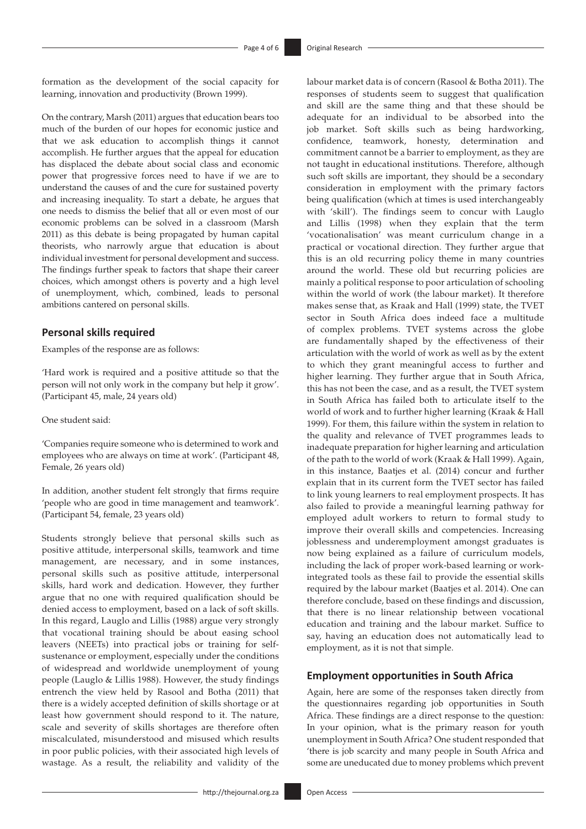formation as the development of the social capacity for learning, innovation and productivity (Brown 1999).

On the contrary, Marsh (2011) argues that education bears too much of the burden of our hopes for economic justice and that we ask education to accomplish things it cannot accomplish. He further argues that the appeal for education has displaced the debate about social class and economic power that progressive forces need to have if we are to understand the causes of and the cure for sustained poverty and increasing inequality. To start a debate, he argues that one needs to dismiss the belief that all or even most of our economic problems can be solved in a classroom (Marsh 2011) as this debate is being propagated by human capital theorists, who narrowly argue that education is about individual investment for personal development and success. The findings further speak to factors that shape their career choices, which amongst others is poverty and a high level of unemployment, which, combined, leads to personal ambitions cantered on personal skills.

#### **Personal skills required**

Examples of the response are as follows:

'Hard work is required and a positive attitude so that the person will not only work in the company but help it grow'. (Participant 45, male, 24 years old)

One student said:

'Companies require someone who is determined to work and employees who are always on time at work'. (Participant 48, Female, 26 years old)

In addition, another student felt strongly that firms require 'people who are good in time management and teamwork'. (Participant 54, female, 23 years old)

Students strongly believe that personal skills such as positive attitude, interpersonal skills, teamwork and time management, are necessary, and in some instances, personal skills such as positive attitude, interpersonal skills, hard work and dedication. However, they further argue that no one with required qualification should be denied access to employment, based on a lack of soft skills. In this regard, Lauglo and Lillis (1988) argue very strongly that vocational training should be about easing school leavers (NEETs) into practical jobs or training for selfsustenance or employment, especially under the conditions of widespread and worldwide unemployment of young people (Lauglo & Lillis 1988). However, the study findings entrench the view held by Rasool and Botha (2011) that there is a widely accepted definition of skills shortage or at least how government should respond to it. The nature, scale and severity of skills shortages are therefore often miscalculated, misunderstood and misused which results in poor public policies, with their associated high levels of wastage. As a result, the reliability and validity of the labour market data is of concern (Rasool & Botha 2011). The responses of students seem to suggest that qualification and skill are the same thing and that these should be adequate for an individual to be absorbed into the job market. Soft skills such as being hardworking, confidence, teamwork, honesty, determination and commitment cannot be a barrier to employment, as they are not taught in educational institutions. Therefore, although such soft skills are important, they should be a secondary consideration in employment with the primary factors being qualification (which at times is used interchangeably with 'skill'). The findings seem to concur with Lauglo and Lillis (1998) when they explain that the term 'vocationalisation' was meant curriculum change in a practical or vocational direction. They further argue that this is an old recurring policy theme in many countries around the world. These old but recurring policies are mainly a political response to poor articulation of schooling within the world of work (the labour market). It therefore makes sense that, as Kraak and Hall (1999) state, the TVET sector in South Africa does indeed face a multitude of complex problems. TVET systems across the globe are fundamentally shaped by the effectiveness of their articulation with the world of work as well as by the extent to which they grant meaningful access to further and higher learning. They further argue that in South Africa, this has not been the case, and as a result, the TVET system in South Africa has failed both to articulate itself to the world of work and to further higher learning (Kraak & Hall 1999). For them, this failure within the system in relation to the quality and relevance of TVET programmes leads to inadequate preparation for higher learning and articulation of the path to the world of work (Kraak & Hall 1999). Again, in this instance, Baatjes et al. (2014) concur and further explain that in its current form the TVET sector has failed to link young learners to real employment prospects. It has also failed to provide a meaningful learning pathway for employed adult workers to return to formal study to improve their overall skills and competencies. Increasing joblessness and underemployment amongst graduates is now being explained as a failure of curriculum models, including the lack of proper work-based learning or workintegrated tools as these fail to provide the essential skills required by the labour market (Baatjes et al. 2014). One can therefore conclude, based on these findings and discussion, that there is no linear relationship between vocational education and training and the labour market. Suffice to say, having an education does not automatically lead to employment, as it is not that simple.

#### **Employment opportunities in South Africa**

Again, here are some of the responses taken directly from the questionnaires regarding job opportunities in South Africa. These findings are a direct response to the question: In your opinion, what is the primary reason for youth unemployment in South Africa? One student responded that 'there is job scarcity and many people in South Africa and some are uneducated due to money problems which prevent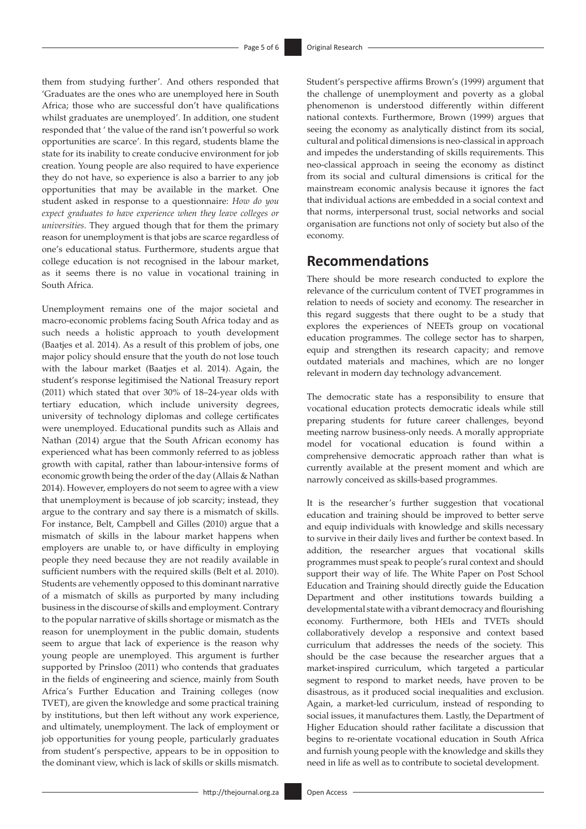them from studying further'. And others responded that 'Graduates are the ones who are unemployed here in South Africa; those who are successful don't have qualifications whilst graduates are unemployed'. In addition, one student responded that ' the value of the rand isn't powerful so work opportunities are scarce'*.* In this regard, students blame the state for its inability to create conducive environment for job creation. Young people are also required to have experience they do not have, so experience is also a barrier to any job opportunities that may be available in the market. One student asked in response to a questionnaire: *How do you expect graduates to have experience when they leave colleges or universities*. They argued though that for them the primary reason for unemployment is that jobs are scarce regardless of one's educational status. Furthermore, students argue that college education is not recognised in the labour market, as it seems there is no value in vocational training in South Africa.

Unemployment remains one of the major societal and macro-economic problems facing South Africa today and as such needs a holistic approach to youth development (Baatjes et al. 2014). As a result of this problem of jobs, one major policy should ensure that the youth do not lose touch with the labour market (Baatjes et al. 2014). Again, the student's response legitimised the National Treasury report (2011) which stated that over 30% of 18–24-year olds with tertiary education, which include university degrees, university of technology diplomas and college certificates were unemployed. Educational pundits such as Allais and Nathan (2014) argue that the South African economy has experienced what has been commonly referred to as jobless growth with capital, rather than labour-intensive forms of economic growth being the order of the day (Allais & Nathan 2014). However, employers do not seem to agree with a view that unemployment is because of job scarcity; instead, they argue to the contrary and say there is a mismatch of skills. For instance, Belt, Campbell and Gilles (2010) argue that a mismatch of skills in the labour market happens when employers are unable to, or have difficulty in employing people they need because they are not readily available in sufficient numbers with the required skills (Belt et al. 2010). Students are vehemently opposed to this dominant narrative of a mismatch of skills as purported by many including business in the discourse of skills and employment. Contrary to the popular narrative of skills shortage or mismatch as the reason for unemployment in the public domain, students seem to argue that lack of experience is the reason why young people are unemployed. This argument is further supported by Prinsloo (2011) who contends that graduates in the fields of engineering and science, mainly from South Africa's Further Education and Training colleges (now TVET), are given the knowledge and some practical training by institutions, but then left without any work experience, and ultimately, unemployment. The lack of employment or job opportunities for young people, particularly graduates from student's perspective, appears to be in opposition to the dominant view, which is lack of skills or skills mismatch.

Student's perspective affirms Brown's (1999) argument that the challenge of unemployment and poverty as a global phenomenon is understood differently within different national contexts. Furthermore, Brown (1999) argues that seeing the economy as analytically distinct from its social, cultural and political dimensions is neo-classical in approach and impedes the understanding of skills requirements. This neo-classical approach in seeing the economy as distinct from its social and cultural dimensions is critical for the mainstream economic analysis because it ignores the fact that individual actions are embedded in a social context and that norms, interpersonal trust, social networks and social organisation are functions not only of society but also of the economy.

### **Recommendations**

There should be more research conducted to explore the relevance of the curriculum content of TVET programmes in relation to needs of society and economy. The researcher in this regard suggests that there ought to be a study that explores the experiences of NEETs group on vocational education programmes. The college sector has to sharpen, equip and strengthen its research capacity; and remove outdated materials and machines, which are no longer relevant in modern day technology advancement.

The democratic state has a responsibility to ensure that vocational education protects democratic ideals while still preparing students for future career challenges, beyond meeting narrow business-only needs. A morally appropriate model for vocational education is found within a comprehensive democratic approach rather than what is currently available at the present moment and which are narrowly conceived as skills-based programmes.

It is the researcher's further suggestion that vocational education and training should be improved to better serve and equip individuals with knowledge and skills necessary to survive in their daily lives and further be context based. In addition, the researcher argues that vocational skills programmes must speak to people's rural context and should support their way of life. The White Paper on Post School Education and Training should directly guide the Education Department and other institutions towards building a developmental state with a vibrant democracy and flourishing economy. Furthermore, both HEIs and TVETs should collaboratively develop a responsive and context based curriculum that addresses the needs of the society. This should be the case because the researcher argues that a market-inspired curriculum, which targeted a particular segment to respond to market needs, have proven to be disastrous, as it produced social inequalities and exclusion. Again, a market-led curriculum, instead of responding to social issues, it manufactures them. Lastly, the Department of Higher Education should rather facilitate a discussion that begins to re-orientate vocational education in South Africa and furnish young people with the knowledge and skills they need in life as well as to contribute to societal development.